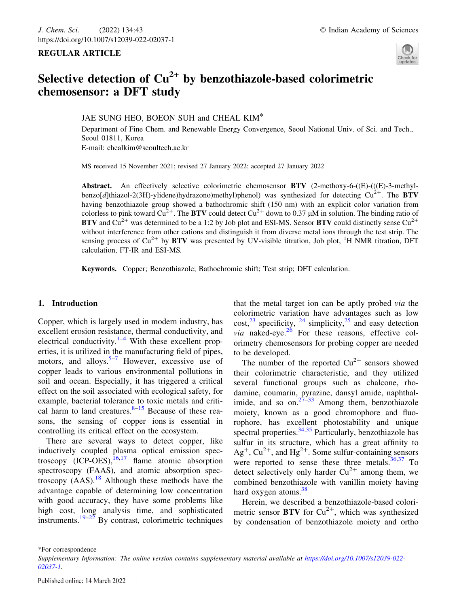### REGULAR ARTICLE



# Selective detection of  $Cu^{2+}$  by benzothiazole-based colorimetric chemosensor: a DFT study

JAE SUNG HEO, BOEON SUH and CHEAL KIM\*

Department of Fine Chem. and Renewable Energy Convergence, Seoul National Univ. of Sci. and Tech., Seoul 01811, Korea E-mail: chealkim@seoultech.ac.kr

MS received 15 November 2021; revised 27 January 2022; accepted 27 January 2022

**Abstract.** An effectively selective colorimetric chemosensor  $\bf BTV$  (2-methoxy-6-((E)-(((E)-3-methylbenzo[d]thiazol-2(3H)-ylidene)hydrazono)methyl)phenol) was synthesized for detecting  $Cu^{2+}$ . The BTV having benzothiazole group showed a bathochromic shift (150 nm) with an explicit color variation from colorless to pink toward  $Cu^{2+}$ . The BTV could detect  $Cu^{2+}$  down to 0.37  $\mu$ M in solution. The binding ratio of **BTV** and  $Cu^{2+}$  was determined to be a 1:2 by Job plot and ESI-MS. Sensor **BTV** could distinctly sense  $Cu^{2+}$ without interference from other cations and distinguish it from diverse metal ions through the test strip. The sensing process of  $Cu^{2+}$  by BTV was presented by UV-visible titration, Job plot,  ${}^{1}H$  NMR titration, DFT calculation, FT-IR and ESI-MS.

Keywords. Copper; Benzothiazole; Bathochromic shift; Test strip; DFT calculation.

### 1. Introduction

Copper, which is largely used in modern industry, has excellent erosion resistance, thermal conductivity, and electrical conductivity. $1-4$  With these excellent properties, it is utilized in the manufacturing field of pipes, motors, and alloys.<sup>5–7</sup> However, excessive use of copper leads to various environmental pollutions in soil and ocean. Especially, it has triggered a critical effect on the soil associated with ecological safety, for example, bacterial tolerance to toxic metals and critical harm to land creatures. $8-15$  Because of these reasons, the sensing of copper ions is essential in controlling its critical effect on the ecosystem.

There are several ways to detect copper, like inductively coupled plasma optical emission spectroscopy  $(ICP-OES),$ <sup>16,17</sup> flame atomic absorption spectroscopy (FAAS), and atomic absorption spectroscopy  $(AAS)$ .<sup>18</sup> Although these methods have the advantage capable of determining low concentration with good accuracy, they have some problems like high cost, long analysis time, and sophisticated instruments.<sup>19–22</sup> By contrast, colorimetric techniques

that the metal target ion can be aptly probed via the colorimetric variation have advantages such as low  $\text{cost}^{23}$  specificity, <sup>24</sup> simplicity, <sup>25</sup> and easy detection *via* naked-eye.<sup>26</sup> For these reasons, effective colorimetry chemosensors for probing copper are needed to be developed.

The number of the reported  $Cu^{2+}$  sensors showed their colorimetric characteristic, and they utilized several functional groups such as chalcone, rhodamine, coumarin, pyrazine, dansyl amide, naphthalimide, and so on. $27-33$  Among them, benzothiazole moiety, known as a good chromophore and fluorophore, has excellent photostability and unique spectral properties.  $34,35$  Particularly, benzothiazole has sulfur in its structure, which has a great affinity to  $Ag^+$ ,  $Cu^{2+}$ , and  $Hg^{2+}$ . Some sulfur-containing sensors were reported to sense these three metals. $36,37$  To detect selectively only harder  $Cu^{2+}$  among them, we combined benzothiazole with vanillin moiety having hard oxygen atoms. $38$ 

Herein, we described a benzothiazole-based colorimetric sensor BTV for  $Cu^{2+}$ , which was synthesized by condensation of benzothiazole moiety and ortho

\*For correspondence

Supplementary Information: The online version contains supplementary material available at https://doi.org/10.1007/s12039-022- 02037-1.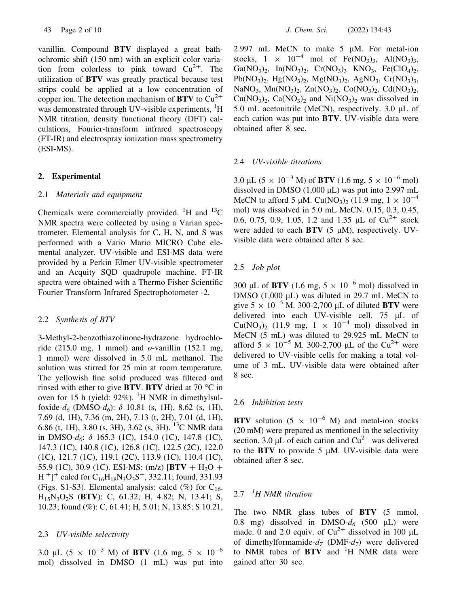vanillin. Compound BTV displayed a great bathochromic shift (150 nm) with an explicit color variation from colorless to pink toward  $Cu^{2+}$ . The utilization of BTV was greatly practical because test strips could be applied at a low concentration of copper ion. The detection mechanism of  $BTV$  to  $Cu^{2+}$ was demonstrated through UV-visible experiments, <sup>1</sup>H NMR titration, density functional theory (DFT) calculations, Fourier-transform infrared spectroscopy (FT-IR) and electrospray ionization mass spectrometry (ESI-MS).

### 2. Experimental

#### 2.1 Materials and equipment

Chemicals were commercially provided.  ${}^{1}$ H and  ${}^{13}$ C NMR spectra were collected by using a Varian spectrometer. Elemental analysis for C, H, N, and S was performed with a Vario Mario MICRO Cube elemental analyzer. UV-visible and ESI-MS data were provided by a Perkin Elmer UV-visible spectrometer and an Acquity SQD quadrupole machine. FT-IR spectra were obtained with a Thermo Fisher Scientific Fourier Transform Infrared Spectrophotometer -2.

### 2.2 Synthesis of BTV

3-Methyl-2-benzothiazolinone-hydrazone hydrochloride (215.0 mg, 1 mmol) and  $o$ -vanillin (152.1 mg, 1 mmol) were dissolved in 5.0 mL methanol. The solution was stirred for 25 min at room temperature. The yellowish fine solid produced was filtered and rinsed with ether to give **BTV**. **BTV** dried at 70  $\degree$ C in oven for 15 h (yield:  $92\%$ ). <sup>1</sup>H NMR in dimethylsulfoxide- $d_6$  (DMSO- $d_6$ ):  $\delta$  10.81 (s, 1H), 8.62 (s, 1H), 7.69 (d, 1H), 7.36 (m, 2H), 7.13 (t, 2H), 7.01 (d, 1H), 6.86 (t, 1H), 3.80 (s, 3H), 3.62 (s, 3H). <sup>13</sup>C NMR data in DMSO- $d_6$ :  $\delta$  165.3 (1C), 154.0 (1C), 147.8 (1C), 147.3 (1C), 140.8 (1C), 126.8 (1C), 122.5 (2C), 122.0 (1C), 121.7 (1C), 119.1 (2C), 113.9 (1C), 110.4 (1C), 55.9 (1C), 30.9 (1C). ESI-MS: (m/z)  $|BTV + H_2O +$  $H^{\,+}$ ]<sup>+</sup> calcd for C<sub>16</sub>H<sub>18</sub>N<sub>3</sub>O<sub>3</sub>S<sup>+</sup>, 332.11; found, 331.93 (Figs. S1-S3). Elemental analysis: calcd  $(\%)$  for C<sub>16-</sub> H15N3O2S (BTV): C, 61.32; H, 4.82; N, 13.41; S, 10.23; found (%): C, 61.41; H, 5.01; N, 13.85; S 10.21,

### 2.3 UV-visible selectivity

3.0 µL (5  $\times$  10<sup>-3</sup> M) of **BTV** (1.6 mg, 5  $\times$  10<sup>-6</sup> mol) dissolved in DMSO (1 mL) was put into 2.997 mL MeCN to make  $5 \mu M$ . For metal-ion stocks,  $1 \times 10^{-4}$  mol of Fe(NO<sub>3</sub>)<sub>3</sub>, Al(NO<sub>3</sub>)<sub>3</sub>, Ga(NO<sub>3</sub>)<sub>2</sub>, In(NO<sub>3</sub>)<sub>2</sub>, Cr(NO<sub>3</sub>)<sub>3</sub> KNO<sub>3</sub>, Fe(ClO<sub>4</sub>)<sub>2</sub>,  $Pb(NO<sub>3</sub>)<sub>2</sub>$ , Hg(NO<sub>3</sub>)<sub>2</sub>, Mg(NO<sub>3</sub>)<sub>2</sub>, AgNO<sub>3</sub>, Cr(NO<sub>3</sub>)<sub>3</sub>, NaNO<sub>3</sub>, Mn(NO<sub>3</sub>)<sub>2</sub>, Zn(NO<sub>3</sub>)<sub>2</sub>, Co(NO<sub>3</sub>)<sub>2</sub>, Cd(NO<sub>3</sub>)<sub>2</sub>,  $Cu(NO<sub>3</sub>)<sub>2</sub>$ ,  $Ca(NO<sub>3</sub>)<sub>2</sub>$  and  $Ni(NO<sub>3</sub>)<sub>2</sub>$  was dissolved in 5.0 mL acetonitrile (MeCN), respectively. 3.0  $\mu$ L of each cation was put into BTV. UV-visible data were obtained after 8 sec.

### 2.4 UV-visible titrations

3.0 µL (5  $\times$  10<sup>-3</sup> M) of **BTV** (1.6 mg, 5  $\times$  10<sup>-6</sup> mol) dissolved in DMSO  $(1,000 \mu L)$  was put into 2.997 mL MeCN to afford 5 µM. Cu(NO<sub>3</sub>)<sub>2</sub> (11.9 mg,  $1 \times 10^{-4}$ mol) was dissolved in 5.0 mL MeCN. 0.15, 0.3, 0.45, 0.6, 0.75, 0.9, 1.05, 1.2 and 1.35  $\mu$ L of Cu<sup>2+</sup> stock were added to each  $BTV$  (5  $\mu$ M), respectively. UVvisible data were obtained after 8 sec.

### 2.5 Job plot

300 µL of BTV (1.6 mg,  $5 \times 10^{-6}$  mol) dissolved in DMSO  $(1,000 \mu L)$  was diluted in 29.7 mL MeCN to give  $5 \times 10^{-5}$  M. 300-2,700 µL of diluted BTV were delivered into each UV-visible cell. 75 µL of  $Cu(NO<sub>3</sub>)<sub>2</sub>$  (11.9 mg, 1  $\times$  10<sup>-4</sup> mol) dissolved in MeCN (5 mL) was diluted to 29.925 mL MeCN to afford  $5 \times 10^{-5}$  M. 300-2,700 µL of the Cu<sup>2+</sup> were delivered to UV-visible cells for making a total volume of 3 mL. UV-visible data were obtained after 8 sec.

#### 2.6 Inhibition tests

BTV solution (5  $\times$  10<sup>-6</sup> M) and metal-ion stocks (20 mM) were prepared as mentioned in the selectivity section. 3.0  $\mu L$  of each cation and  $Cu^{2+}$  was delivered to the  $BTV$  to provide 5  $\mu$ M. UV-visible data were obtained after 8 sec.

# $2.7$  <sup>1</sup>H NMR titration

The two NMR glass tubes of BTV (5 mmol, 0.8 mg) dissolved in DMSO- $d_6$  (500 µL) were made. 0 and 2.0 equiv. of  $Cu^{2+}$  dissolved in 100 µL of dimethylformamide- $d_7$  (DMF- $d_7$ ) were delivered to NMR tubes of  $BTV$  and  $H$  NMR data were gained after 30 sec.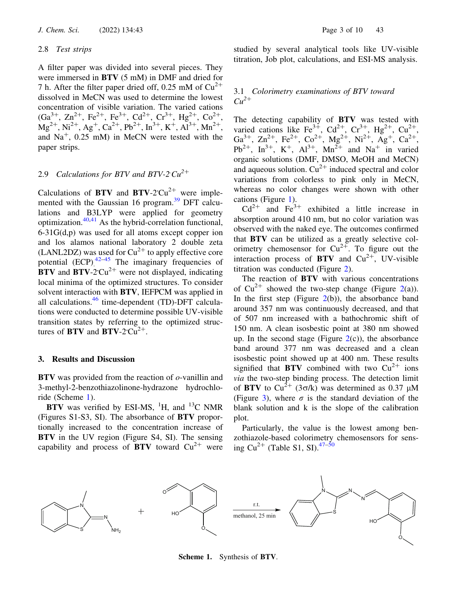#### 2.8 Test strips

A filter paper was divided into several pieces. They were immersed in BTV (5 mM) in DMF and dried for 7 h. After the filter paper dried off, 0.25 mM of  $Cu^{2+}$ dissolved in MeCN was used to determine the lowest concentration of visible variation. The varied cations  $(Ga^{3+}, Zn^{2+}, Fe^{2+}, Fe^{3+}, Cd^{2+}, Cr^{3+}, Hg^{2+}, Co^{2+},$  $Mg^{2+}$ , Ni<sup>2+</sup>, Ag<sup>+</sup>, Ca<sup>2+</sup>, Pb<sup>2+</sup>, In<sup>3+</sup>, K<sup>+</sup>, Al<sup>3+</sup>, Mn<sup>2+</sup>, and  $Na<sup>+</sup>$ , 0.25 mM) in MeCN were tested with the paper strips.

# 2.9 Calculations for BTV and BTV-2  $Cu^{2+}$

Calculations of BTV and BTV-2<sup>c</sup> $Cu^{2+}$  were implemented with the Gaussian 16 program.<sup>39</sup> DFT calculations and B3LYP were applied for geometry optimization.40,41 As the hybrid-correlation functional, 6-31G(d,p) was used for all atoms except copper ion and los alamos national laboratory 2 double zeta (LANL2DZ) was used for  $Cu^{2+}$  to apply effective core potential  $(ECP)$ <sup>42–45</sup> The imaginary frequencies of  $\text{BTV}$  and  $\text{BTV-2}$  Cu<sup>2+</sup> were not displayed, indicating local minima of the optimized structures. To consider solvent interaction with BTV, IEFPCM was applied in all calculations.46 time-dependent (TD)-DFT calculations were conducted to determine possible UV-visible transition states by referring to the optimized structures of  $BTV$  and  $BTV-2$  Cu<sup>2+</sup>.

### 3. Results and Discussion

 $BTV$  was provided from the reaction of  $o$ -vanillin and 3-methyl-2-benzothiazolinone-hydrazone hydrochloride (Scheme 1).

BTV was verified by ESI-MS,  ${}^{1}H$ , and  ${}^{13}C$  NMR (Figures S1-S3, SI). The absorbance of BTV proportionally increased to the concentration increase of BTV in the UV region (Figure S4, SI). The sensing capability and process of BTV toward  $Cu^{2+}$  were studied by several analytical tools like UV-visible titration, Job plot, calculations, and ESI-MS analysis.

### 3.1 Colorimetry examinations of BTV toward  $Cu^{2+}$

The detecting capability of BTV was tested with varied cations like Fe<sup>3+</sup>, Cd<sup>2+</sup>, Cr<sup>3+</sup>, Hg<sup>2+</sup>, Cu<sup>2+</sup>, Ga<sup>3+</sup>, Zn<sup>2+</sup>, Fe<sup>2+</sup>, Co<sup>2+</sup>, Mg<sup>2+</sup>, Ni<sup>2+</sup>, Ag<sup>+</sup>, Ca<sup>2+</sup>,  $Pb^{2+}$ ,  $In^{3+}$ ,  $K^+$ ,  $Al^{3+}$ ,  $Mn^{2+}$  and  $Na^+$  in varied organic solutions (DMF, DMSO, MeOH and MeCN) and aqueous solution.  $Cu^{2+}$  induced spectral and color variations from colorless to pink only in MeCN, whereas no color changes were shown with other cations (Figure 1).

 $Cd^{2+}$  and  $Fe^{3+}$  exhibited a little increase in absorption around 410 nm, but no color variation was observed with the naked eye. The outcomes confirmed that BTV can be utilized as a greatly selective colorimetry chemosensor for  $Cu^{2+}$ . To figure out the interaction process of  $BTV$  and  $Cu^{2+}$ , UV-visible titration was conducted (Figure 2).

The reaction of **BTV** with various concentrations of  $Cu^{2+}$  showed the two-step change (Figure 2(a)). In the first step (Figure  $2(b)$ ), the absorbance band around 357 nm was continuously decreased, and that of 507 nm increased with a bathochromic shift of 150 nm. A clean isosbestic point at 380 nm showed up. In the second stage (Figure  $2(c)$ ), the absorbance band around 377 nm was decreased and a clean isosbestic point showed up at 400 nm. These results signified that **BTV** combined with two  $Cu^{2+}$  ions via the two-step binding process. The detection limit of BTV to  $Cu^{2+}$  (3 $\sigma$ /k) was determined as 0.37 µM (Figure 3), where  $\sigma$  is the standard deviation of the blank solution and k is the slope of the calibration plot.

Particularly, the value is the lowest among benzothiazole-based colorimetry chemosensors for sensing  $Cu^{2+}$  (Table S1, SI).<sup>47–50</sup>



Scheme 1. Synthesis of BTV.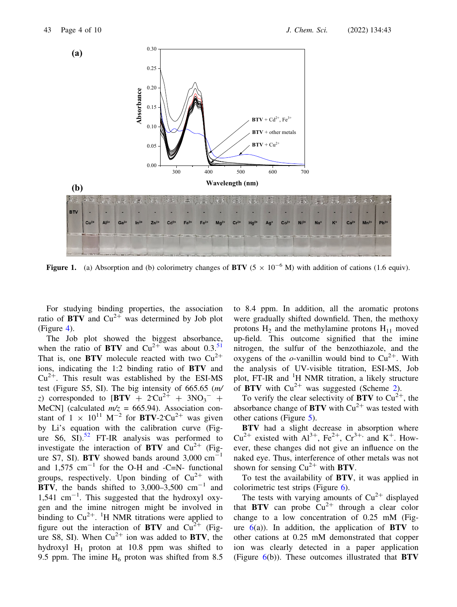

Figure 1. (a) Absorption and (b) colorimetry changes of BTV ( $5 \times 10^{-6}$  M) with addition of cations (1.6 equiv).

For studying binding properties, the association ratio of  $BTV$  and  $Cu^{2+}$  was determined by Job plot (Figure 4).

The Job plot showed the biggest absorbance, when the ratio of BTV and  $Cu^{2+}$  was about 0.3.<sup>51</sup> That is, one **BTV** molecule reacted with two  $Cu^{2+}$ ions, indicating the 1:2 binding ratio of BTV and  $Cu^{2+}$ . This result was established by the ESI-MS test (Figure S5, SI). The big intensity of 665.65 (m/ z) corresponded to  $[BTV + 2Cu^{2+} + 3NO_3^- +$ MeCN] (calculated  $m/z = 665.94$ ). Association constant of  $1 \times 10^{11}$  M<sup>-2</sup> for **BTV**-2<sup>-2+</sup> was given by Li's equation with the calibration curve (Figure S6, SI).<sup>52</sup> FT-IR analysis was performed to investigate the interaction of  $BTV$  and  $Cu^{2+}$  (Figure S7, SI). BTV showed bands around  $3,000 \text{ cm}^{-1}$ and  $1,575$  cm<sup>-1</sup> for the O-H and -C=N- functional groups, respectively. Upon binding of  $Cu^{2+}$  with BTV, the bands shifted to  $3,000-3,500$  cm<sup>-1</sup> and  $1,541$  cm<sup>-1</sup>. This suggested that the hydroxyl oxygen and the imine nitrogen might be involved in binding to  $Cu^{2+}$ . <sup>1</sup>H NMR titrations were applied to figure out the interaction of  $BTV$  and  $Cu^{2+}$  (Figure S8, SI). When  $Cu^{2+}$  ion was added to BTV, the hydroxyl  $H_1$  proton at 10.8 ppm was shifted to 9.5 ppm. The imine  $H_6$  proton was shifted from 8.5 to 8.4 ppm. In addition, all the aromatic protons were gradually shifted downfield. Then, the methoxy protons  $H_2$  and the methylamine protons  $H_{11}$  moved up-field. This outcome signified that the imine nitrogen, the sulfur of the benzothiazole, and the oxygens of the *o*-vanillin would bind to  $Cu^{2+}$ . With the analysis of UV-visible titration, ESI-MS, Job plot, FT-IR and <sup>1</sup>H NMR titration, a likely structure of BTV with  $Cu^{2+}$  was suggested (Scheme 2).

To verify the clear selectivity of **BTV** to  $Cu^{2+}$ , the absorbance change of **BTV** with  $Cu^{2+}$  was tested with other cations (Figure 5).

BTV had a slight decrease in absorption where  $Cu^{2+}$  existed with  $Al^{3+}$ ,  $Fe^{2+}$ ,  $Cr^{3+}$ , and  $K^+$ . However, these changes did not give an influence on the naked eye. Thus, interference of other metals was not shown for sensing  $Cu^{2+}$  with **BTV**.

To test the availability of BTV, it was applied in colorimetric test strips (Figure 6).

The tests with varying amounts of  $Cu^{2+}$  displayed that **BTV** can probe  $Cu^{2+}$  through a clear color change to a low concentration of 0.25 mM (Figure  $6(a)$ ). In addition, the application of BTV to other cations at 0.25 mM demonstrated that copper ion was clearly detected in a paper application (Figure  $6(b)$ ). These outcomes illustrated that **BTV**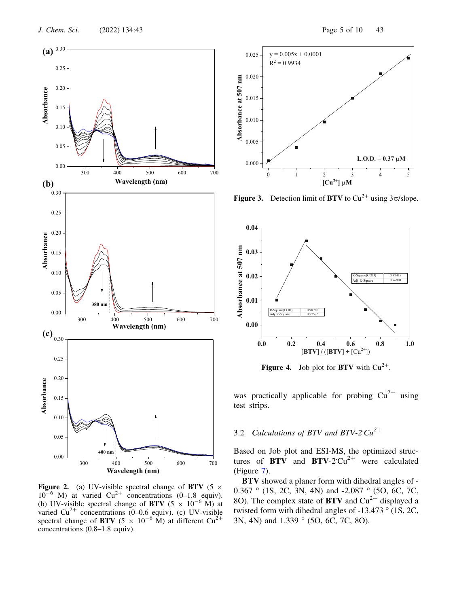

Figure 2. (a) UV-visible spectral change of BTV (5  $\times$  $10^{-6}$  M) at varied  $Cu^{2+}$  concentrations (0–1.8 equiv). (b) UV-visible spectral change of BTV (5  $\times$  10<sup>-6</sup> M) at varied  $Cu^{2+}$  concentrations (0–0.6 equiv). (c) UV-visible spectral change of BTV (5  $\times$  10<sup>-6</sup> M) at different Cu<sup>2+</sup> concentrations (0.8–1.8 equiv).



Figure 3. Detection limit of BTV to  $Cu^{2+}$  using 3 $\sigma$ /slope.



**Figure 4.** Job plot for **BTV** with  $Cu^{2+}$ .

was practically applicable for probing  $Cu^{2+}$  using test strips.

# 3.2 Calculations of BTV and BTV-2  $Cu^{2+}$

Based on Job plot and ESI-MS, the optimized structures of  $\overrightarrow{BTV}$  and  $\overrightarrow{BTV}\text{-}2^{\text{-}}$  were calculated (Figure 7).

BTV showed a planer form with dihedral angles of - 0.367  $\degree$  (1S, 2C, 3N, 4N) and -2.087  $\degree$  (5O, 6C, 7C, 8O). The complex state of **BTV** and  $Cu^{2+}$  displayed a twisted form with dihedral angles of  $-13.473$  ° (1S, 2C, 3N, 4N) and 1.339 ° (5O, 6C, 7C, 8O).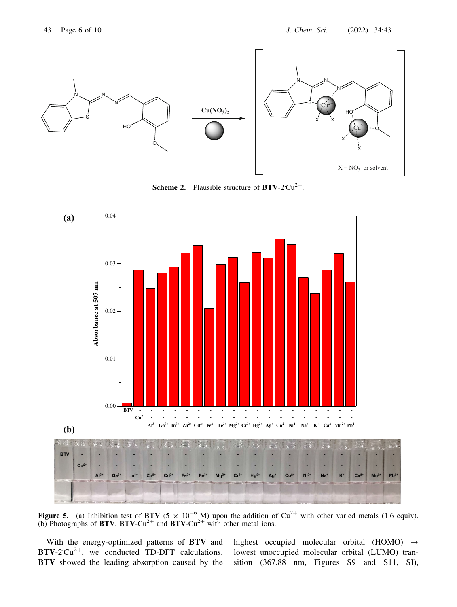

**Scheme 2.** Plausible structure of  $BTV-2^cCu^{2+}$ .



Figure 5. (a) Inhibition test of BTV (5  $\times$  10<sup>-6</sup> M) upon the addition of Cu<sup>2+</sup> with other varied metals (1.6 equiv). (b) Photographs of  $BTV$ ,  $BTV$ -Cu<sup>2+</sup> and  $BTV$ -Cu<sup>2+</sup> with other metal ions.

With the energy-optimized patterns of BTV and  $BTV-2CU^{2+}$ , we conducted TD-DFT calculations. BTV showed the leading absorption caused by the

highest occupied molecular orbital (HOMO)  $\rightarrow$ lowest unoccupied molecular orbital (LUMO) transition (367.88 nm, Figures S9 and S11, SI),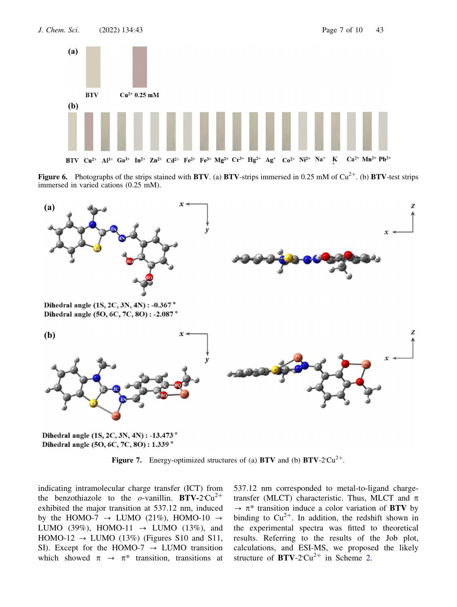

**Figure 6.** Photographs of the strips stained with **BTV**. (a) **BTV**-strips immersed in 0.25 mM of  $Cu^{2+}$ . (b) **BTV**-test strips immersed in varied cations (0.25 mM).



Dihedral angle (1S, 2C, 3N, 4N) : -13.473° Dihedral angle (5O, 6C, 7C, 8O): 1.339°

Figure 7. Energy-optimized structures of (a) BTV and (b)  $BTV-2'Cu^{2+}$ .

indicating intramolecular charge transfer (ICT) from the benzothiazole to the *o*-vanillin. BTV-2 Cu<sup>2+</sup> exhibited the major transition at 537.12 nm, induced by the HOMO-7  $\rightarrow$  LUMO (21%), HOMO-10  $\rightarrow$ LUMO (39%), HOMO-11  $\rightarrow$  LUMO (13%), and HOMO-12  $\rightarrow$  LUMO (13%) (Figures S10 and S11, SI). Except for the HOMO-7  $\rightarrow$  LUMO transition which showed  $\pi \rightarrow \pi^*$  transition, transitions at 537.12 nm corresponded to metal-to-ligand chargetransfer (MLCT) characteristic. Thus, MLCT and  $\pi$  $\rightarrow \pi^*$  transition induce a color variation of BTV by binding to  $Cu^{2+}$ . In addition, the redshift shown in the experimental spectra was fitted to theoretical results. Referring to the results of the Job plot, calculations, and ESI-MS, we proposed the likely structure of  $BTV-2CU^{2+}$  in Scheme 2.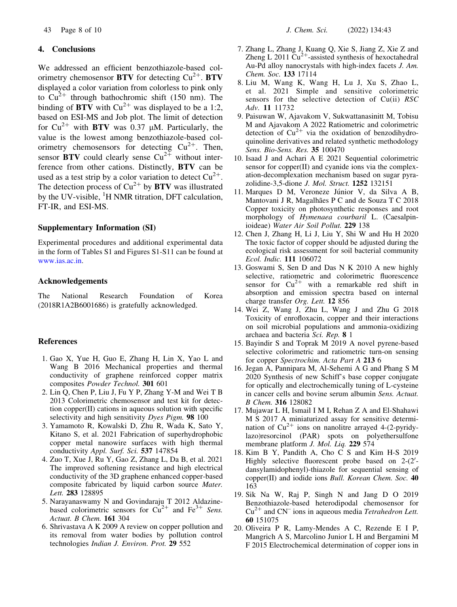### 4. Conclusions

We addressed an efficient benzothiazole-based colorimetry chemosensor  $BTV$  for detecting  $Cu^{2+}$ . BTV displayed a color variation from colorless to pink only to  $Cu^{2+}$  through bathochromic shift (150 nm). The binding of  $BTV$  with  $Cu^{2+}$  was displayed to be a 1:2, based on ESI-MS and Job plot. The limit of detection for  $Cu^{2+}$  with BTV was 0.37 µM. Particularly, the value is the lowest among benzothiazole-based colorimetry chemosensors for detecting  $Cu^{2+}$ . Then, sensor **BTV** could clearly sense  $Cu^{2+}$  without interference from other cations. Distinctly, BTV can be used as a test strip by a color variation to detect  $Cu^{2+}$ . The detection process of  $Cu^{2+}$  by **BTV** was illustrated by the UV-visible, <sup>1</sup>H NMR titration, DFT calculation, FT-IR, and ESI-MS.

### Supplementary Information (SI)

Experimental procedures and additional experimental data in the form of Tables S1 and Figures S1-S11 can be found at www.ias.ac.in.

### Acknowledgements

The National Research Foundation of Korea (2018R1A2B6001686) is gratefully acknowledged.

### References

- 1. Gao X, Yue H, Guo E, Zhang H, Lin X, Yao L and Wang B 2016 Mechanical properties and thermal conductivity of graphene reinforced copper matrix composites Powder Technol. 301 601
- 2. Lin Q, Chen P, Liu J, Fu Y P, Zhang Y-M and Wei T B 2013 Colorimetric chemosensor and test kit for detection copper(II) cations in aqueous solution with specific selectivity and high sensitivity Dyes Pigm. 98 100
- 3. Yamamoto R, Kowalski D, Zhu R, Wada K, Sato Y, Kitano S, et al. 2021 Fabrication of superhydrophobic copper metal nanowire surfaces with high thermal conductivity Appl. Surf. Sci. 537 147854
- 4. Zuo T, Xue J, Ru Y, Gao Z, Zhang L, Da B, et al. 2021 The improved softening resistance and high electrical conductivity of the 3D graphene enhanced copper-based composite fabricated by liquid carbon source Mater. Lett. 283 128895
- 5. Narayanaswamy N and Govindaraju T 2012 Aldazinebased colorimetric sensors for  $\tilde{Cu}^{2+}$  and Fe<sup>3+</sup> Sens. Actuat. B Chem. 161 304
- 6. Shrivastava A K 2009 A review on copper pollution and its removal from water bodies by pollution control technologies Indian J. Environ. Prot. 29 552
- 7. Zhang L, Zhang J, Kuang Q, Xie S, Jiang Z, Xie Z and Zheng L 2011  $Cu^{2+}$ -assisted synthesis of hexoctahedral Au-Pd alloy nanocrystals with high-index facets J. Am. Chem. Soc. 133 17114
- 8. Liu M, Wang K, Wang H, Lu J, Xu S, Zhao L, et al. 2021 Simple and sensitive colorimetric sensors for the selective detection of  $Cu(ii)$  RSC Adv. 11 11732
- 9. Paisuwan W, Ajavakom V, Sukwattanasinitt M, Tobisu M and Ajavakom A 2022 Ratiometric and colorimetric detection of  $Cu^{2+}$  via the oxidation of benzodihydroquinoline derivatives and related synthetic methodology Sens. Bio-Sens. Res. 35 100470
- 10. Isaad J and Achari A E 2021 Sequential colorimetric sensor for copper(II) and cyanide ions via the complexation-decomplexation mechanism based on sugar pyrazolidine-3,5-dione J. Mol. Struct. 1252 132151
- 11. Marques D M, Veroneze Júnior V, da Silva A B, Mantovani J R, Magalhães P C and de Souza T C 2018 Copper toxicity on photosynthetic responses and root morphology of Hymenaea courbaril L. (Caesalpinioideae) Water Air Soil Pollut. 229 138
- 12. Chen J, Zhang H, Li J, Liu Y, Shi W and Hu H 2020 The toxic factor of copper should be adjusted during the ecological risk assessment for soil bacterial community Ecol. Indic. 111 106072
- 13. Goswami S, Sen D and Das N K 2010 A new highly selective, ratiometric and colorimetric fluorescence sensor for  $Cu^{2+}$  with a remarkable red shift in absorption and emission spectra based on internal charge transfer Org. Lett. 12 856
- 14. Wei Z, Wang J, Zhu L, Wang J and Zhu G 2018 Toxicity of enrofloxacin, copper and their interactions on soil microbial populations and ammonia-oxidizing archaea and bacteria Sci. Rep. 8 1
- 15. Bayindir S and Toprak M 2019 A novel pyrene-based selective colorimetric and ratiometric turn-on sensing for copper Spectrochim. Acta Part A 213 6
- 16. Jegan A, Pannipara M, Al-Sehemi A G and Phang S M 2020 Synthesis of new Schiff's base copper conjugate for optically and electrochemically tuning of L-cysteine in cancer cells and bovine serum albumin Sens. Actuat. B Chem. 316 128082
- 17. Mujawar L H, Ismail I M I, Rehan Z A and El-Shahawi M S 2017 A miniaturized assay for sensitive determination of  $Cu^{2+}$  ions on nanolitre arrayed 4-(2-pyridylazo)resorcinol (PAR) spots on polyethersulfone membrane platform J. Mol. Liq. 229 574
- 18. Kim B Y, Pandith A, Cho C S and Kim H-S 2019 Highly selective fluorescent probe based on  $2-(2)$ dansylamidophenyl)-thiazole for sequential sensing of copper(II) and iodide ions Bull. Korean Chem. Soc. 40 163
- 19. Sik Na W, Raj P, Singh N and Jang D O 2019 Benzothiazole-based heterodipodal chemosensor for  $Cu^{2+}$  and CN<sup>-</sup> ions in aqueous media *Tetrahedron Lett.* 60 151075
- 20. Oliveira P R, Lamy-Mendes A C, Rezende E I P, Mangrich A S, Marcolino Junior L H and Bergamini M F 2015 Electrochemical determination of copper ions in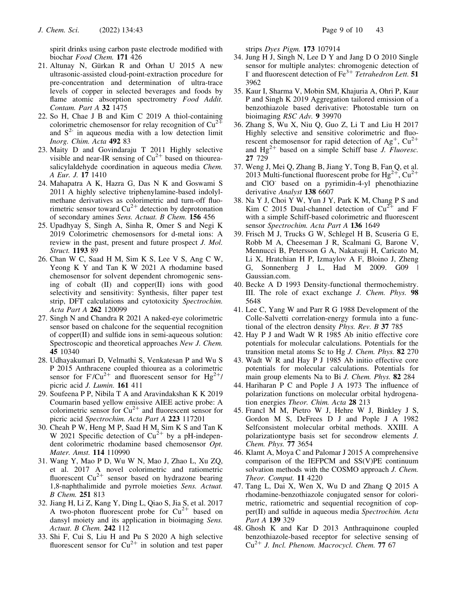spirit drinks using carbon paste electrode modified with biochar Food Chem. 171 426

- 21. Altunay N, Gürkan R and Orhan U 2015 A new ultrasonic-assisted cloud-point-extraction procedure for pre-concentration and determination of ultra-trace levels of copper in selected beverages and foods by flame atomic absorption spectrometry Food Addit. Contam. Part A 32 1475
- 22. So H, Chae J B and Kim C 2019 A thiol-containing colorimetric chemosensor for relay recognition of  $Cu^{2+}$ and  $S<sup>2</sup>$  in aqueous media with a low detection limit Inorg. Chim. Acta 492 83
- 23. Maity D and Govindaraju T 2011 Highly selective visible and near-IR sensing of  $Cu^{2+}$  based on thioureasalicylaldehyde coordination in aqueous media Chem. A Eur. J. 17 1410
- 24. Mahapatra A K, Hazra G, Das N K and Goswami S 2011 A highly selective triphenylamine-based indolylmethane derivatives as colorimetric and turn-off fluorimetric sensor toward  $Cu^{2+}$  detection by deprotonation of secondary amines Sens. Actuat. B Chem. 156 456
- 25. Upadhyay S, Singh A, Sinha R, Omer S and Negi K 2019 Colorimetric chemosensors for d-metal ions: A review in the past, present and future prospect J. Mol. Struct. 1193 89
- 26. Chan W C, Saad H M, Sim K S, Lee V S, Ang C W, Yeong K Y and Tan K W 2021 A rhodamine based chemosensor for solvent dependent chromogenic sensing of cobalt (II) and copper(II) ions with good selectivity and sensitivity: Synthesis, filter paper test strip, DFT calculations and cytotoxicity Spectrochim. Acta Part A 262 120099
- 27. Singh N and Chandra R 2021 A naked-eye colorimetric sensor based on chalcone for the sequential recognition of copper(II) and sulfide ions in semi-aqueous solution: Spectroscopic and theoretical approaches New J. Chem. 45 10340
- 28. Udhayakumari D, Velmathi S, Venkatesan P and Wu S P 2015 Anthracene coupled thiourea as a colorimetric sensor for F/Cu<sup>2+</sup> and fluorescent sensor for Hg<sup>2+</sup>/ picric acid J. Lumin. 161 411
- 29. Soufeena P P, Nibila T A and Aravindakshan K K 2019 Coumarin based yellow emissive AIEE active probe: A colorimetric sensor for  $Cu^{2+}$  and fluorescent sensor for picric acid Spectrochim. Acta Part A 223 117201
- 30. Cheah P W, Heng M P, Saad H M, Sim K S and Tan K W 2021 Specific detection of  $Cu^{2+}$  by a pH-independent colorimetric rhodamine based chemosensor Opt. Mater. Amst. 114 110990
- 31. Wang Y, Mao P D, Wu W N, Mao J, Zhao L, Xu ZQ, et al. 2017 A novel colorimetric and ratiometric fluorescent  $Cu^{2+}$  sensor based on hydrazone bearing 1,8-naphthalimide and pyrrole moieties Sens. Actuat. B Chem. 251 813
- 32. Jiang H, Li Z, Kang Y, Ding L, Qiao S, Jia S, et al. 2017 A two-photon fluorescent probe for  $Cu^{2+}$  based on dansyl moiety and its application in bioimaging Sens. Actuat. B Chem. 242 112
- 33. Shi F, Cui S, Liu H and Pu S 2020 A high selective fluorescent sensor for  $Cu^{2+}$  in solution and test paper

strips Dyes Pigm. 173 107914

- 34. Jung H J, Singh N, Lee D Y and Jang D O 2010 Single sensor for multiple analytes: chromogenic detection of I<sup>-</sup> and fluorescent detection of Fe<sup>3+</sup> Tetrahedron Lett. 51 3962
- 35. Kaur I, Sharma V, Mobin SM, Khajuria A, Ohri P, Kaur P and Singh K 2019 Aggregation tailored emission of a benzothiazole based derivative: Photostable turn on bioimaging RSC Adv. 9 39970
- 36. Zhang S, Wu X, Niu Q, Guo Z, Li T and Liu H 2017 Highly selective and sensitive colorimetric and fluorescent chemosensor for rapid detection of Ag<sup>+</sup>,  $Cu^{2+}$ and  $Hg^{2+}$  based on a simple Schiff base J. Fluoresc. 27 729
- 37. Weng J, Mei Q, Zhang B, Jiang Y, Tong B, Fan Q, et al. 2013 Multi-functional fluorescent probe for  $Hg^{2+}$ ,  $Cu^{2+}$ and ClO- based on a pyrimidin-4-yl phenothiazine derivative Analyst 138 6607
- 38. Na Y J, Choi Y W, Yun J Y, Park K M, Chang P S and Kim C 2015 Dual-channel detection of  $Cu^{2+}$  and F with a simple Schiff-based colorimetric and fluorescent sensor Spectrochim. Acta Part A 136 1649
- 39. Frisch M J, Trucks G W, Schlegel H B, Scuseria G E, Robb M A, Cheeseman J R, Scalmani G, Barone V, Mennucci B, Petersson G A, Nakatsuji H, Caricato M, Li X, Hratchian H P, Izmaylov A F, Bloino J, Zheng G, Sonnenberg J L, Had M 2009. G09 Gaussian.com.
- 40. Becke A D 1993 Density-functional thermochemistry. III. The role of exact exchange J. Chem. Phys. 98 5648
- 41. Lee C, Yang W and Parr R G 1988 Development of the Colle-Salvetti correlation-energy formula into a functional of the electron density Phys. Rev. B 37 785
- 42. Hay P J and Wadt W R 1985 Ab initio effective core potentials for molecular calculations. Potentials for the transition metal atoms Sc to Hg J. Chem. Phys. 82 270
- 43. Wadt W R and Hay P J 1985 Ab initio effective core potentials for molecular calculations. Potentials for main group elements Na to Bi J. Chem. Phys. 82 284
- 44. Hariharan P C and Pople J A 1973 The influence of polarization functions on molecular orbital hydrogenation energies Theor. Chim. Acta 28 213
- 45. Francl M M, Pietro W J, Hehre W J, Binkley J S, Gordon M S, DeFrees D J and Pople J A 1982 Selfconsistent molecular orbital methods. XXIII. A polarizationtype basis set for secondrow elements J. Chem. Phys. 77 3654
- 46. Klamt A, Moya C and Palomar J 2015 A comprehensive comparison of the IEFPCM and SS(V)PE continuum solvation methods with the COSMO approach J. Chem. Theor. Comput. 11 4220
- 47. Tang L, Dai X, Wen X, Wu D and Zhang Q 2015 A rhodamine-benzothiazole conjugated sensor for colorimetric, ratiometric and sequential recognition of copper(II) and sulfide in aqueous media Spectrochim. Acta Part A 139 329
- 48. Ghosh K and Kar D 2013 Anthraquinone coupled benzothiazole-based receptor for selective sensing of  $Cu<sup>2+</sup>$  J. Incl. Phenom. Macrocycl. Chem. 77 67